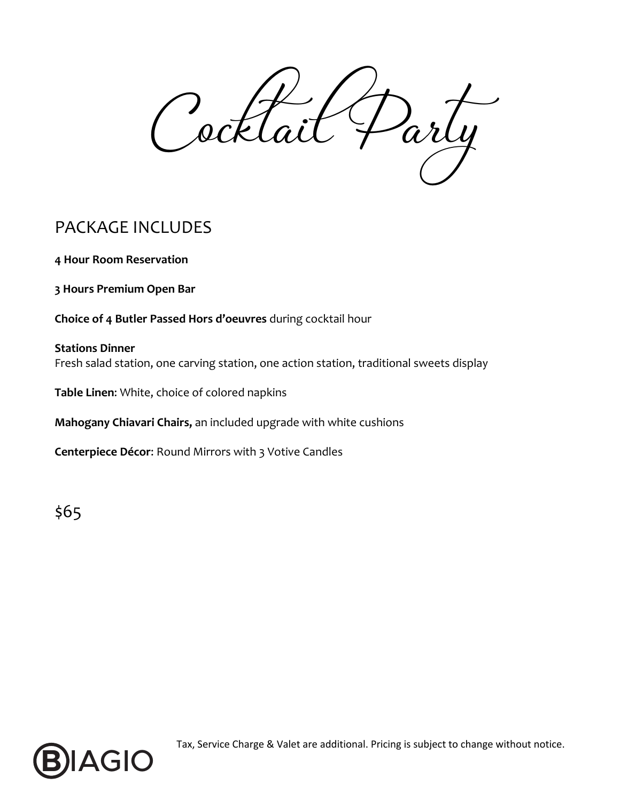Parly

# PACKAGE INCLUDES

**4 Hour Room Reservation**

**3 Hours Premium Open Bar** 

**Choice of 4 Butler Passed Hors d'oeuvres** during cocktail hour

#### **Stations Dinner** Fresh salad station, one carving station, one action station, traditional sweets display

**Table Linen**: White, choice of colored napkins

**Mahogany Chiavari Chairs,** an included upgrade with white cushions

**Centerpiece Décor**: Round Mirrors with 3 Votive Candles

\$65